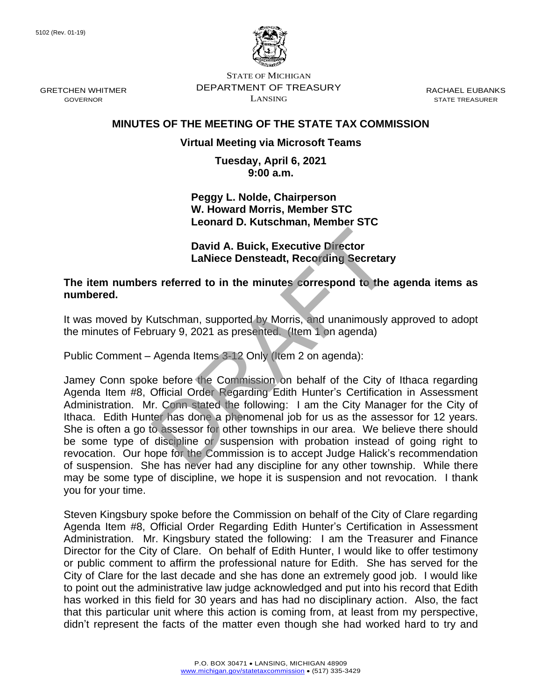

STATE OF MICHIGAN DEPARTMENT OF TREASURY LANSING

RACHAEL EUBANKS STATE TREASURER

## **MINUTES OF THE MEETING OF THE STATE TAX COMMISSION**

## **Virtual Meeting via Microsoft Teams**

**Tuesday, April 6, 2021 9:00 a.m.**

**Peggy L. Nolde, Chairperson W. Howard Morris, Member STC Leonard D. Kutschman, Member STC**

**David A. Buick, Executive Director LaNiece Densteadt, Recording Secretary**

**The item numbers referred to in the minutes correspond to the agenda items as numbered.**

It was moved by Kutschman, supported by Morris, and unanimously approved to adopt the minutes of February 9, 2021 as presented. (Item 1 on agenda)

Public Comment – Agenda Items 3-12 Only (Item 2 on agenda):

Jamey Conn spoke before the Commission on behalf of the City of Ithaca regarding Agenda Item #8, Official Order Regarding Edith Hunter's Certification in Assessment Administration. Mr. Conn stated the following: I am the City Manager for the City of Ithaca. Edith Hunter has done a phenomenal job for us as the assessor for 12 years. She is often a go to assessor for other townships in our area. We believe there should be some type of discipline or suspension with probation instead of going right to revocation. Our hope for the Commission is to accept Judge Halick's recommendation of suspension. She has never had any discipline for any other township. While there may be some type of discipline, we hope it is suspension and not revocation. I thank you for your time. David A. Buick, Executive Director<br>
LaNiece Densteadt, Recording Secretary<br>
s referred to in the minutes correspond to the<br>
Cutschman, supported by Morris, and unanimously<br>
ruary 9, 2021 as presented. (Item 1 on agenda)<br>
A

Steven Kingsbury spoke before the Commission on behalf of the City of Clare regarding Agenda Item #8, Official Order Regarding Edith Hunter's Certification in Assessment Administration. Mr. Kingsbury stated the following: I am the Treasurer and Finance Director for the City of Clare. On behalf of Edith Hunter, I would like to offer testimony or public comment to affirm the professional nature for Edith. She has served for the City of Clare for the last decade and she has done an extremely good job. I would like to point out the administrative law judge acknowledged and put into his record that Edith has worked in this field for 30 years and has had no disciplinary action. Also, the fact that this particular unit where this action is coming from, at least from my perspective, didn't represent the facts of the matter even though she had worked hard to try and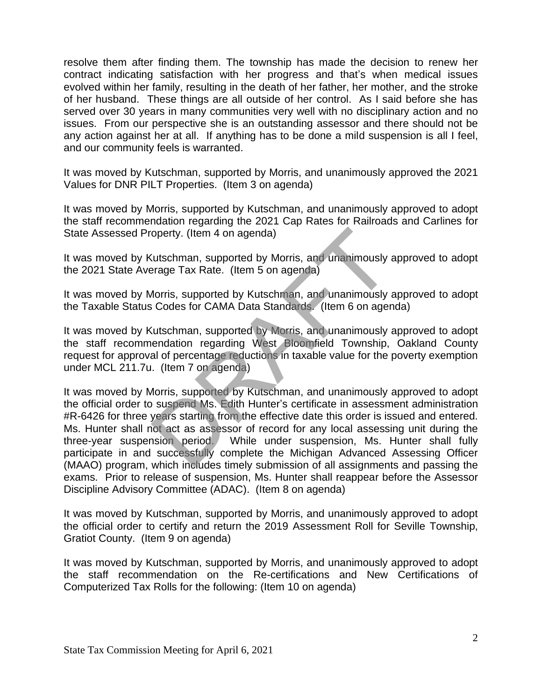resolve them after finding them. The township has made the decision to renew her contract indicating satisfaction with her progress and that's when medical issues evolved within her family, resulting in the death of her father, her mother, and the stroke of her husband. These things are all outside of her control. As I said before she has served over 30 years in many communities very well with no disciplinary action and no issues. From our perspective she is an outstanding assessor and there should not be any action against her at all. If anything has to be done a mild suspension is all I feel, and our community feels is warranted.

It was moved by Kutschman, supported by Morris, and unanimously approved the 2021 Values for DNR PILT Properties. (Item 3 on agenda)

It was moved by Morris, supported by Kutschman, and unanimously approved to adopt the staff recommendation regarding the 2021 Cap Rates for Railroads and Carlines for State Assessed Property. (Item 4 on agenda)

It was moved by Kutschman, supported by Morris, and unanimously approved to adopt the 2021 State Average Tax Rate. (Item 5 on agenda)

It was moved by Morris, supported by Kutschman, and unanimously approved to adopt the Taxable Status Codes for CAMA Data Standards. (Item 6 on agenda)

It was moved by Kutschman, supported by Morris, and unanimously approved to adopt the staff recommendation regarding West Bloomfield Township, Oakland County request for approval of percentage reductions in taxable value for the poverty exemption under MCL 211.7u. (Item 7 on agenda)

It was moved by Morris, supported by Kutschman, and unanimously approved to adopt the official order to suspend Ms. Edith Hunter's certificate in assessment administration #R-6426 for three years starting from the effective date this order is issued and entered. Ms. Hunter shall not act as assessor of record for any local assessing unit during the three-year suspension period. While under suspension, Ms. Hunter shall fully participate in and successfully complete the Michigan Advanced Assessing Officer (MAAO) program, which includes timely submission of all assignments and passing the exams. Prior to release of suspension, Ms. Hunter shall reappear before the Assessor Discipline Advisory Committee (ADAC). (Item 8 on agenda) operty. (Item 4 on agenda)<br>
Cutschman, supported by Morris, and unanimously arage Tax Rate. (Item 5 on agenda)<br>
Morris, supported by Kutschman, and unanimously is Codes for CAMA Data Standards. (Item 6 on ager<br>
Cutschman,

It was moved by Kutschman, supported by Morris, and unanimously approved to adopt the official order to certify and return the 2019 Assessment Roll for Seville Township, Gratiot County. (Item 9 on agenda)

It was moved by Kutschman, supported by Morris, and unanimously approved to adopt the staff recommendation on the Re-certifications and New Certifications of Computerized Tax Rolls for the following: (Item 10 on agenda)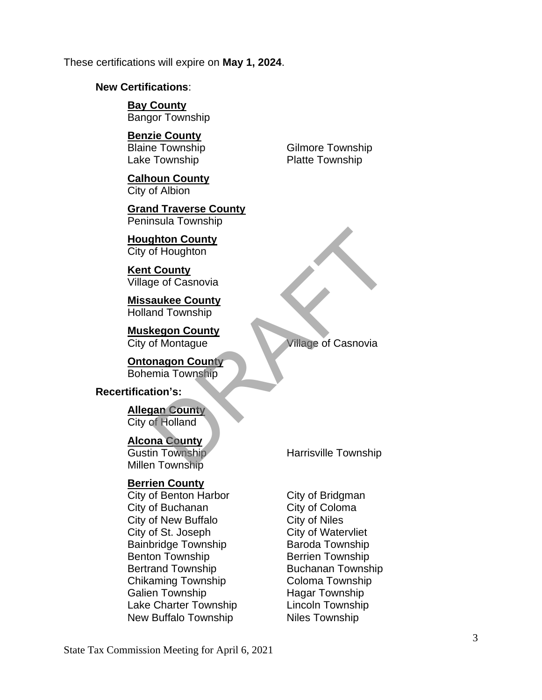These certifications will expire on **May 1, 2024**.

#### **New Certifications**:

**Bay County** Bangor Township

### **Benzie County**

Lake Township **Platte Township** 

**Calhoun County** City of Albion

**Grand Traverse County** Peninsula Township

**Houghton County** City of Houghton

**Kent County** Village of Casnovia

**Missaukee County** Holland Township

**Muskegon County City of Montague City of Montague City of Montague City of Montague City of Casnovia** 

**Ontonagon County** Bohemia Township Financial<br>
Scrib Houghton<br>
County<br>
The of Casnovia<br>
Example County<br>
Ind Township<br>
Township<br>
Township<br>
Township<br>
Township<br>
Township<br>
Township<br>
Township<br>
Township<br>
Township<br>
Township<br>
Township

### **Recertification's:**

**Allegan County** City of Holland

**Alcona County**

Millen Township

### **Berrien County**

City of Benton Harbor City of Bridgman City of Buchanan City of Coloma City of New Buffalo **City of Niles** City of St. Joseph City of Watervliet Bainbridge Township **Baroda Township** Benton Township Berrien Township Bertrand Township Buchanan Township Chikaming Township Coloma Township Galien Township Hagar Township Lake Charter Township Lincoln Township New Buffalo Township Niles Township

Blaine Township Gilmore Township

Gustin Township Harrisville Township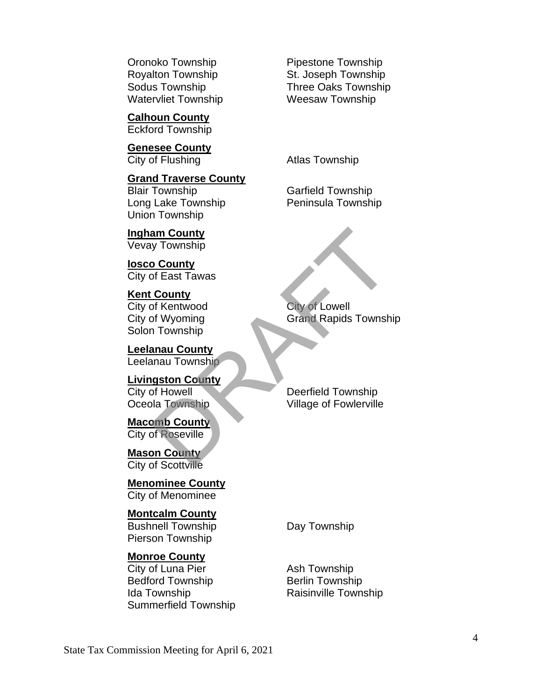Watervliet Township **Weesaw Township** 

**Calhoun County** Eckford Township

**Genesee County** City of Flushing **Atlas Township** 

**Grand Traverse County** Blair Township Garfield Township Long Lake Township **Peninsula Township** Union Township

**Ingham County** Vevay Township

**Iosco County** City of East Tawas

**Kent County** City of Kentwood City of Lowell Solon Township

**Leelanau County** Leelanau Township

**Livingston County**

**Macomb County** City of Roseville

**Mason County** City of Scottville

**Menominee County** City of Menominee

**Montcalm County**

Bushnell Township **Day Township** Pierson Township

## **Monroe County**

City of Luna Pier Ash Township Bedford Township Berlin Township Ida Township **Raisinville Township** Summerfield Township

Oronoko Township **Pipestone Township** Royalton Township St. Joseph Township Sodus Township Three Oaks Township

City of Wyoming Grand Rapids Township am County<br>
y Township<br>
b County<br>
of East Tawas<br>
County<br>
of Kentwood<br>
of Wyoming<br>
Township<br>
anau County<br>
mau County<br>
of Howell<br>
of Howell<br>
bla Township<br>
b County<br>
of Roseville<br>
bla Township<br>
of Roseville<br>
on County<br>
of Rose

City of Howell Deerfield Township **Oceola Township Village of Fowlerville**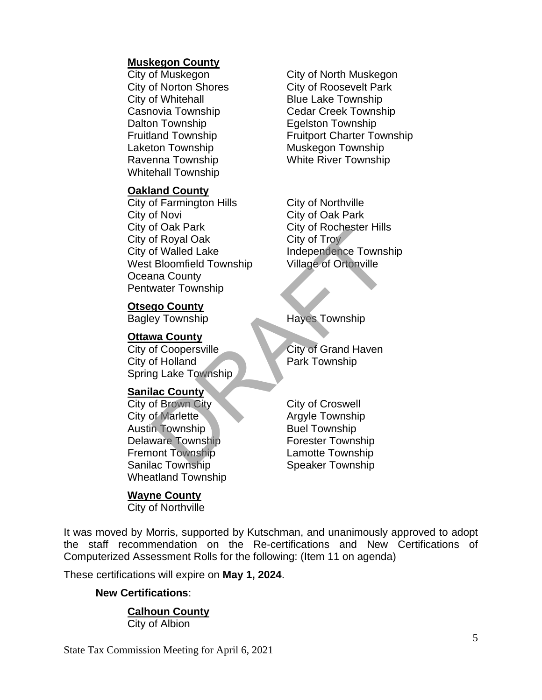## **Muskegon County**

City of Whitehall **Blue Lake Township** Dalton Township **Equality** Equipment Dalton Township Laketon Township Muskegon Township Whitehall Township

### **Oakland County**

City of Farmington Hills City of Northville City of Novi City of Oak Park City of Oak Park City of Rochester Hills City of Royal Oak City of Troy City of Walled Lake Independence Township West Bloomfield Township Village of Ortonville Oceana County Pentwater Township DRAFT City of Royal Oak<br>
of Royal Oak<br>
of Solidar City of Troy<br>
of Walled Lake<br>
Independence Township<br>
water Township<br>
water Township<br>
y Township<br>
y Township<br>
by City of Grand Haven<br>
of Holland<br>
g Lake Township<br>
lac County

#### **Otsego County**

#### **Ottawa County**

City of Coopersville City of Grand Haven City of Holland Park Township Spring Lake Township

### **Sanilac County**

City of Brown City City City of Croswell City of Marlette Argyle Township Austin Township Buel Township Delaware Township **Forester Township** Fremont Township **Lamotte Township** Sanilac Township Speaker Township Wheatland Township

### **Wayne County**

City of Northville

City of Muskegon City of North Muskegon City of Norton Shores City of Roosevelt Park Casnovia Township Cedar Creek Township Fruitland Township Fruitport Charter Township Ravenna Township White River Township

Bagley Township Hayes Township

It was moved by Morris, supported by Kutschman, and unanimously approved to adopt the staff recommendation on the Re-certifications and New Certifications of Computerized Assessment Rolls for the following: (Item 11 on agenda)

These certifications will expire on **May 1, 2024**.

### **New Certifications**:

## **Calhoun County**

City of Albion

State Tax Commission Meeting for April 6, 2021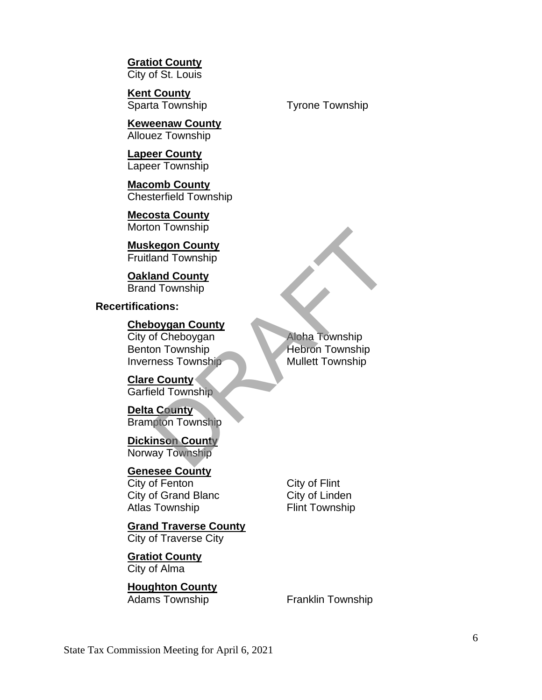**Gratiot County** City of St. Louis

**Kent County**

**Keweenaw County** Allouez Township

**Lapeer County** Lapeer Township

**Macomb County** Chesterfield Township

**Mecosta County** Morton Township

**Muskegon County** Fruitland Township

**Oakland County** Brand Township

**Recertifications:**

**Cheboygan County**

City of Cheboygan Aloha Township Benton Township Hebron Township Inverness Township Mullett Township

**Clare County** Garfield Township

**Delta County** Brampton Township

**Dickinson County** Norway Township

**Genesee County** City of Fenton City of Flint

City of Grand Blanc City of Linden Atlas Township Flint Township

**Grand Traverse County** City of Traverse City

**Gratiot County** City of Alma

**Houghton County** Adams Township Franklin Township

Example 10<br>
Man Township<br>
and County<br>
of Township<br>
d Township<br>
on Township<br>
on Township<br>
press Township<br>
Phile Mullett Township<br>
Mullett Township<br>
Mullett Township<br>
Mullett Township<br>
Mullett Township<br>
Mullett Township<br>
Mul

Sparta Township Tyrone Township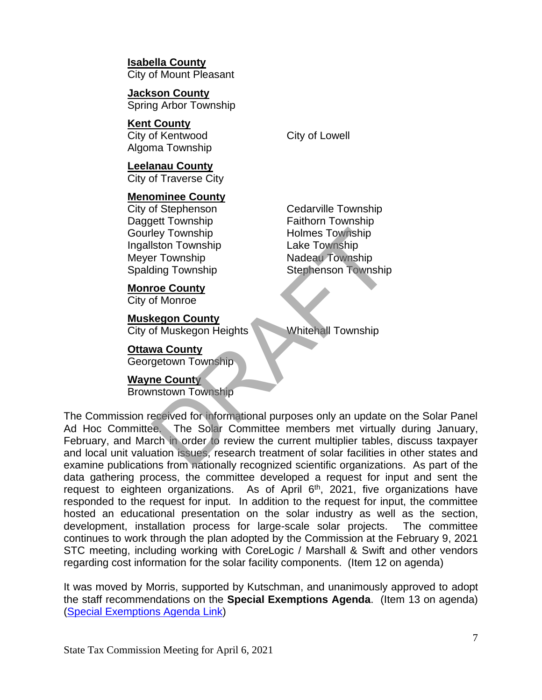**Isabella County** City of Mount Pleasant

**Jackson County** Spring Arbor Township

**Kent County** City of Kentwood City of Lowell Algoma Township

**Leelanau County** City of Traverse City

## **Menominee County**

City of Stephenson Cedarville Township Daggett Township Faithorn Township Gourley Township **Holmes Township** Ingallston Township Lake Township Meyer Township Nadeau Township

**Monroe County**

City of Monroe

# **Muskegon County**

City of Muskegon Heights Whitehall Township

## **Ottawa County**

Georgetown Township

## **Wayne County**

Brownstown Township

Spalding Township Stephenson Township

The Commission received for informational purposes only an update on the Solar Panel Ad Hoc Committee. The Solar Committee members met virtually during January, February, and March in order to review the current multiplier tables, discuss taxpayer and local unit valuation issues, research treatment of solar facilities in other states and examine publications from nationally recognized scientific organizations. As part of the data gathering process, the committee developed a request for input and sent the request to eighteen organizations. As of April  $6<sup>th</sup>$ , 2021, five organizations have responded to the request for input. In addition to the request for input, the committee hosted an educational presentation on the solar industry as well as the section, development, installation process for large-scale solar projects. The committee continues to work through the plan adopted by the Commission at the February 9, 2021 STC meeting, including working with CoreLogic / Marshall & Swift and other vendors regarding cost information for the solar facility components. (Item 12 on agenda) They Township<br>
Iston Township<br>
Iston Township<br>
Iston Township<br>
Township<br>
Township<br>
Township<br>
Township<br>
Township<br>
Township<br>
Township<br>
Township<br>
Township<br>
Township<br>
Township<br>
Township<br>
Iston Township<br>
Township<br>
Township<br>
Tow

It was moved by Morris, supported by Kutschman, and unanimously approved to adopt the staff recommendations on the **Special Exemptions Agenda**. (Item 13 on agenda) (Special [Exemptions Agenda Link\)](https://www.michigan.gov/documents/treasury/13_Exemptions_Special_Items_Agenda_720814_7.pdf)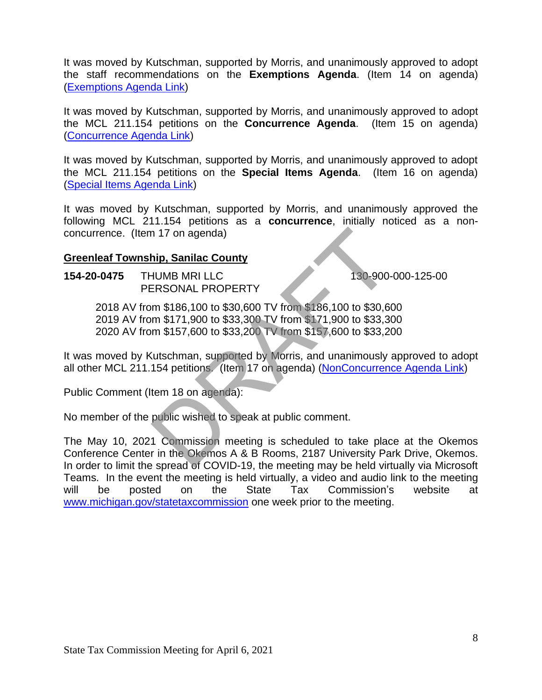It was moved by Kutschman, supported by Morris, and unanimously approved to adopt the staff recommendations on the **Exemptions Agenda**. (Item 14 on agenda) [\(Exemptions Agenda Link\)](https://www.michigan.gov/documents/treasury/14_Exemptions_Agenda_720815_7.pdf)

It was moved by Kutschman, supported by Morris, and unanimously approved to adopt the MCL 211.154 petitions on the **Concurrence Agenda**. (Item 15 on agenda) [\(Concurrence Agenda Link\)](https://www.michigan.gov/documents/treasury/15_Concurrence_Agenda_720816_7.pdf)

It was moved by Kutschman, supported by Morris, and unanimously approved to adopt the MCL 211.154 petitions on the **Special Items Agenda**. (Item 16 on agenda) [\(Special Items Agenda Link\)](https://www.michigan.gov/documents/treasury/16_154_Special_Items_Agenda_720818_7.pdf)

It was moved by Kutschman, supported by Morris, and unanimously approved the following MCL 211.154 petitions as a **concurrence**, initially noticed as a nonconcurrence. (Item 17 on agenda)

## **Greenleaf Township, Sanilac County**

**154-20-0475 THUMB MRI LLC** 130-900-000-125-00 PERSONAL PROPERTY

 AV from \$186,100 to \$30,600 TV from \$186,100 to \$30,600 AV from \$171,900 to \$33,300 TV from \$171,900 to \$33,300 AV from \$157,600 to \$33,200 TV from \$157,600 to \$33,200 n 17 on agenda)<br>
hip, Sanilac County<br>
HUMB MRI LLC<br>
ERSONAL PROPERTY<br>
m \$186,100 to \$30,600 TV from \$186,100 to \$30,6<br>
m \$171,900 to \$33,300 TV from \$171,900 to \$33,30<br>
m \$157,600 to \$33,200 TV from \$157,600 to \$33,30<br>
(ut

It was moved by Kutschman, supported by Morris, and unanimously approved to adopt all other MCL 211.154 petitions. (Item 17 on agenda) [\(NonConcurrence Agenda Link\)](https://www.michigan.gov/documents/treasury/Agenda_-_April_-_NonConcurrence_for_Minutes_721835_7.pdf)

Public Comment (Item 18 on agenda):

No member of the public wished to speak at public comment.

The May 10, 2021 Commission meeting is scheduled to take place at the Okemos Conference Center in the Okemos A & B Rooms, 2187 University Park Drive, Okemos. In order to limit the spread of COVID-19, the meeting may be held virtually via Microsoft Teams. In the event the meeting is held virtually, a video and audio link to the meeting will be posted on the State Tax Commission's website at [www.michigan.gov/statetaxcommission](http://www.michigan.gov/statetaxcommission) one week prior to the meeting.